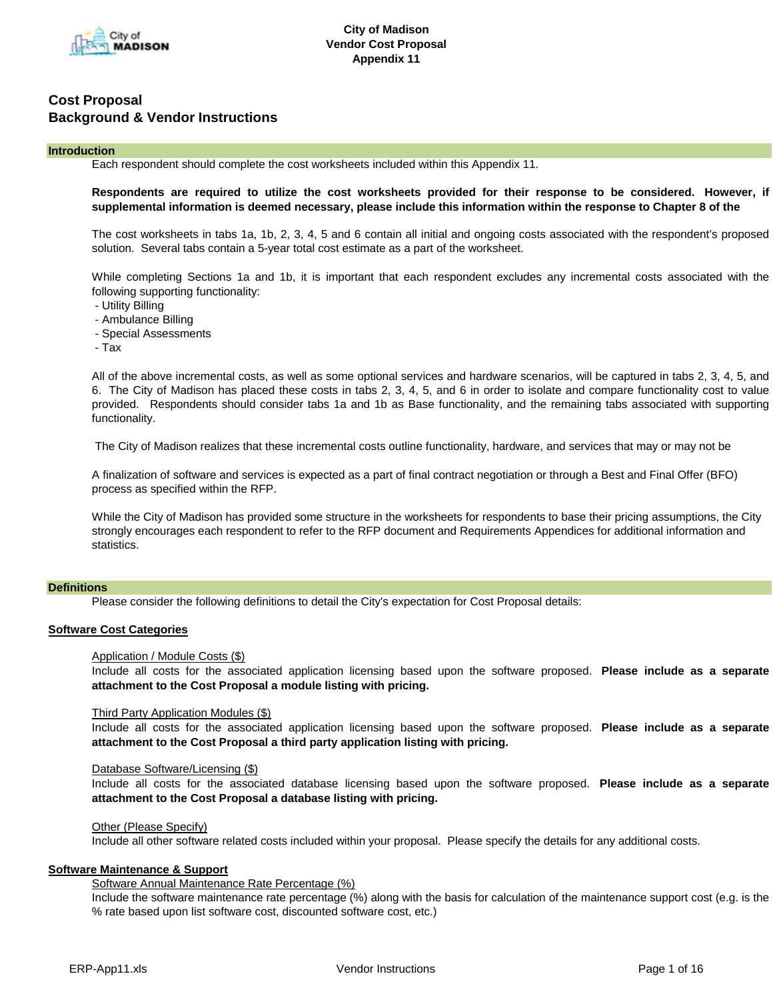

# **Introduction**

Each respondent should complete the cost worksheets included within this Appendix 11.

# **Respondents are required to utilize the cost worksheets provided for their response to be considered. However, if supplemental information is deemed necessary, please include this information within the response to Chapter 8 of the**

The cost worksheets in tabs 1a, 1b, 2, 3, 4, 5 and 6 contain all initial and ongoing costs associated with the respondent's proposed solution. Several tabs contain a 5-year total cost estimate as a part of the worksheet.

While completing Sections 1a and 1b, it is important that each respondent excludes any incremental costs associated with the following supporting functionality:

- Utility Billing
- Ambulance Billing
- Special Assessments
- Tax

All of the above incremental costs, as well as some optional services and hardware scenarios, will be captured in tabs 2, 3, 4, 5, and 6. The City of Madison has placed these costs in tabs 2, 3, 4, 5, and 6 in order to isolate and compare functionality cost to value provided. Respondents should consider tabs 1a and 1b as Base functionality, and the remaining tabs associated with supporting functionality.

The City of Madison realizes that these incremental costs outline functionality, hardware, and services that may or may not be

A finalization of software and services is expected as a part of final contract negotiation or through a Best and Final Offer (BFO) process as specified within the RFP.

While the City of Madison has provided some structure in the worksheets for respondents to base their pricing assumptions, the City strongly encourages each respondent to refer to the RFP document and Requirements Appendices for additional information and statistics.

# **Definitions**

Please consider the following definitions to detail the City's expectation for Cost Proposal details:

# **Software Cost Categories**

# Application / Module Costs (\$)

Include all costs for the associated application licensing based upon the software proposed. **Please include as a separate attachment to the Cost Proposal a module listing with pricing.**

# Third Party Application Modules (\$)

Include all costs for the associated application licensing based upon the software proposed. **Please include as a separate attachment to the Cost Proposal a third party application listing with pricing.**

# Database Software/Licensing (\$)

Include all costs for the associated database licensing based upon the software proposed. **Please include as a separate attachment to the Cost Proposal a database listing with pricing.**

# Other (Please Specify)

Include all other software related costs included within your proposal. Please specify the details for any additional costs.

# **Software Maintenance & Support**

# Software Annual Maintenance Rate Percentage (%)

Include the software maintenance rate percentage (%) along with the basis for calculation of the maintenance support cost (e.g. is the % rate based upon list software cost, discounted software cost, etc.)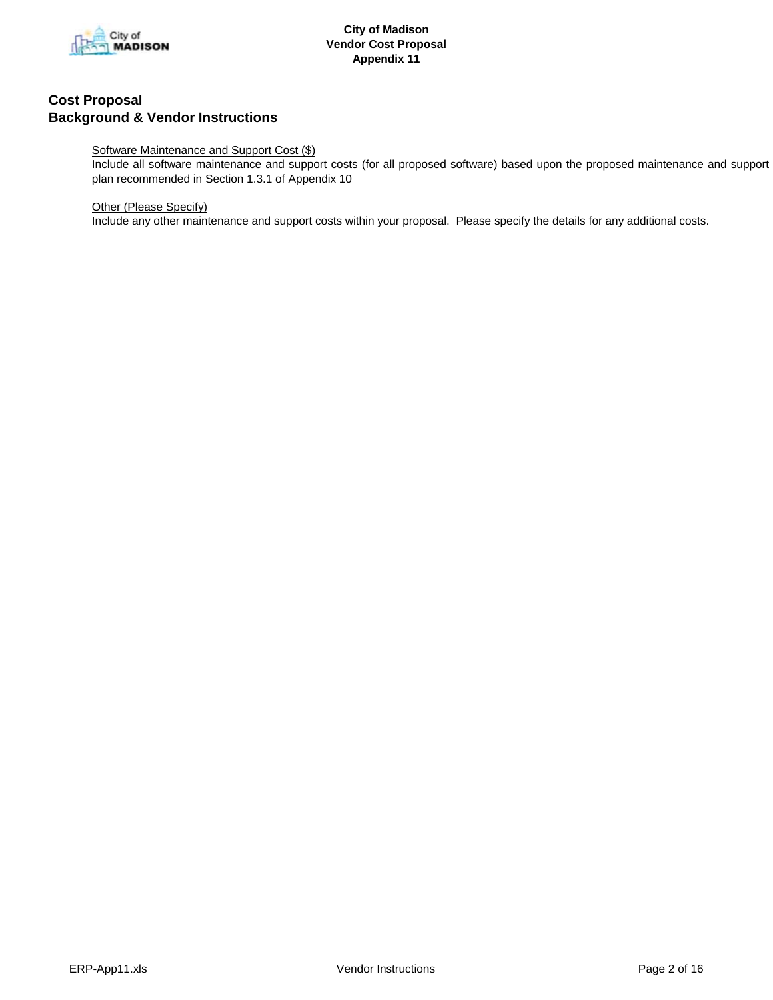

# Software Maintenance and Support Cost (\$)

Include all software maintenance and support costs (for all proposed software) based upon the proposed maintenance and support plan recommended in Section 1.3.1 of Appendix 10

# Other (Please Specify)

Include any other maintenance and support costs within your proposal. Please specify the details for any additional costs.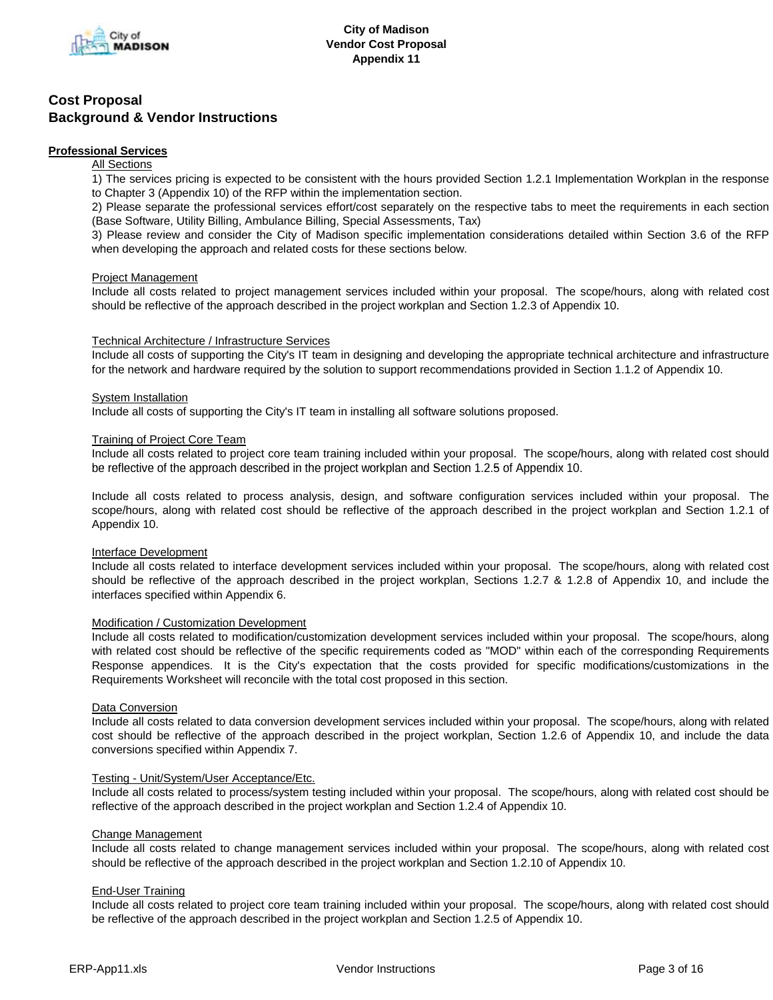

# **Professional Services**

# **All Sections**

1) The services pricing is expected to be consistent with the hours provided Section 1.2.1 Implementation Workplan in the response to Chapter 3 (Appendix 10) of the RFP within the implementation section.

2) Please separate the professional services effort/cost separately on the respective tabs to meet the requirements in each section (Base Software, Utility Billing, Ambulance Billing, Special Assessments, Tax)

3) Please review and consider the City of Madison specific implementation considerations detailed within Section 3.6 of the RFP when developing the approach and related costs for these sections below.

# Project Management

Include all costs related to project management services included within your proposal. The scope/hours, along with related cost should be reflective of the approach described in the project workplan and Section 1.2.3 of Appendix 10.

# Technical Architecture / Infrastructure Services

Include all costs of supporting the City's IT team in designing and developing the appropriate technical architecture and infrastructure for the network and hardware required by the solution to support recommendations provided in Section 1.1.2 of Appendix 10.

# System Installation

Include all costs of supporting the City's IT team in installing all software solutions proposed.

# Training of Project Core Team

Include all costs related to project core team training included within your proposal. The scope/hours, along with related cost should be reflective of the approach described in the project workplan and Section 1.2.5 of Appendix 10.

Include all costs related to process analysis, design, and software configuration services included within your proposal. The scope/hours, along with related cost should be reflective of the approach described in the project workplan and Section 1.2.1 of Appendix 10.

# Interface Development

Include all costs related to interface development services included within your proposal. The scope/hours, along with related cost should be reflective of the approach described in the project workplan, Sections 1.2.7 & 1.2.8 of Appendix 10, and include the interfaces specified within Appendix 6.

# Modification / Customization Development

Include all costs related to modification/customization development services included within your proposal. The scope/hours, along with related cost should be reflective of the specific requirements coded as "MOD" within each of the corresponding Requirements Response appendices. It is the City's expectation that the costs provided for specific modifications/customizations in the Requirements Worksheet will reconcile with the total cost proposed in this section.

# Data Conversion

Include all costs related to data conversion development services included within your proposal. The scope/hours, along with related cost should be reflective of the approach described in the project workplan, Section 1.2.6 of Appendix 10, and include the data conversions specified within Appendix 7.

# Testing - Unit/System/User Acceptance/Etc.

Include all costs related to process/system testing included within your proposal. The scope/hours, along with related cost should be reflective of the approach described in the project workplan and Section 1.2.4 of Appendix 10.

# Change Management

Include all costs related to change management services included within your proposal. The scope/hours, along with related cost should be reflective of the approach described in the project workplan and Section 1.2.10 of Appendix 10.

# End-User Training

Include all costs related to project core team training included within your proposal. The scope/hours, along with related cost should be reflective of the approach described in the project workplan and Section 1.2.5 of Appendix 10.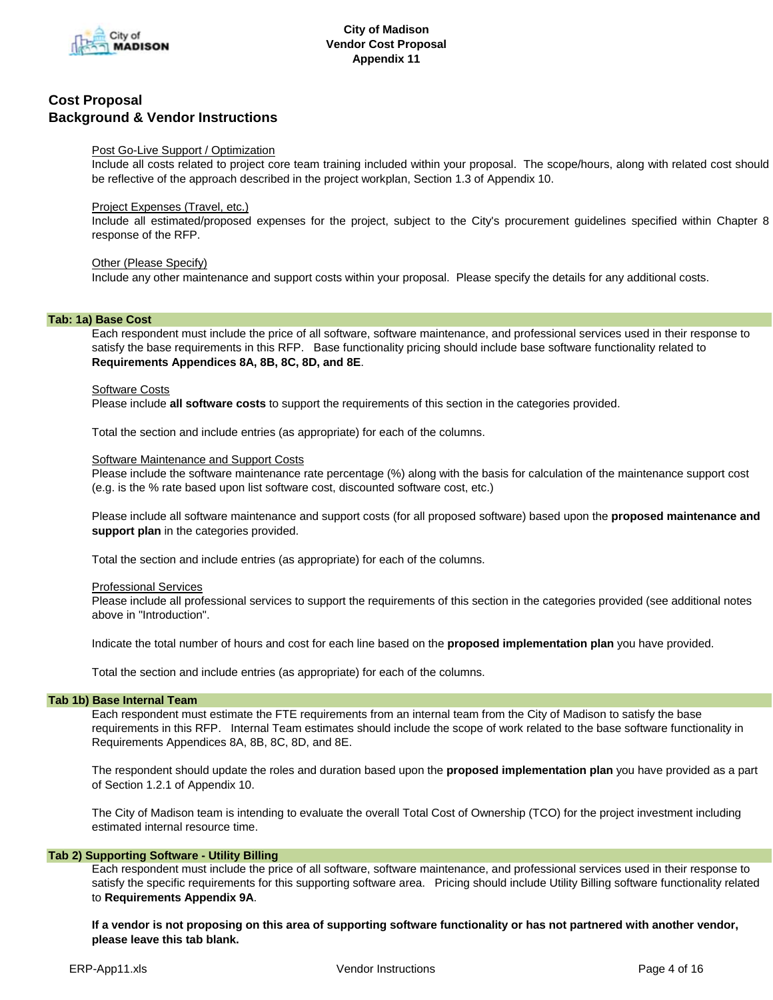

# Post Go-Live Support / Optimization

Include all costs related to project core team training included within your proposal. The scope/hours, along with related cost should be reflective of the approach described in the project workplan, Section 1.3 of Appendix 10.

# **Project Expenses (Travel, etc.)**

Include all estimated/proposed expenses for the project, subject to the City's procurement guidelines specified within Chapter 8 response of the RFP.

# Other (Please Specify)

Include any other maintenance and support costs within your proposal. Please specify the details for any additional costs.

# **Tab: 1a) Base Cost**

Each respondent must include the price of all software, software maintenance, and professional services used in their response to satisfy the base requirements in this RFP. Base functionality pricing should include base software functionality related to **Requirements Appendices 8A, 8B, 8C, 8D, and 8E**.

# Software Costs

Please include **all software costs** to support the requirements of this section in the categories provided.

Total the section and include entries (as appropriate) for each of the columns.

# Software Maintenance and Support Costs

Please include the software maintenance rate percentage (%) along with the basis for calculation of the maintenance support cost (e.g. is the % rate based upon list software cost, discounted software cost, etc.)

Please include all software maintenance and support costs (for all proposed software) based upon the **proposed maintenance and support plan** in the categories provided.

Total the section and include entries (as appropriate) for each of the columns.

# Professional Services

Please include all professional services to support the requirements of this section in the categories provided (see additional notes above in "Introduction".

Indicate the total number of hours and cost for each line based on the **proposed implementation plan** you have provided.

Total the section and include entries (as appropriate) for each of the columns.

# **Tab 1b) Base Internal Team**

Each respondent must estimate the FTE requirements from an internal team from the City of Madison to satisfy the base requirements in this RFP. Internal Team estimates should include the scope of work related to the base software functionality in Requirements Appendices 8A, 8B, 8C, 8D, and 8E.

The respondent should update the roles and duration based upon the **proposed implementation plan** you have provided as a part of Section 1.2.1 of Appendix 10.

The City of Madison team is intending to evaluate the overall Total Cost of Ownership (TCO) for the project investment including estimated internal resource time.

# **Tab 2) Supporting Software - Utility Billing**

Each respondent must include the price of all software, software maintenance, and professional services used in their response to satisfy the specific requirements for this supporting software area. Pricing should include Utility Billing software functionality related to **Requirements Appendix 9A**.

**If a vendor is not proposing on this area of supporting software functionality or has not partnered with another vendor, please leave this tab blank.**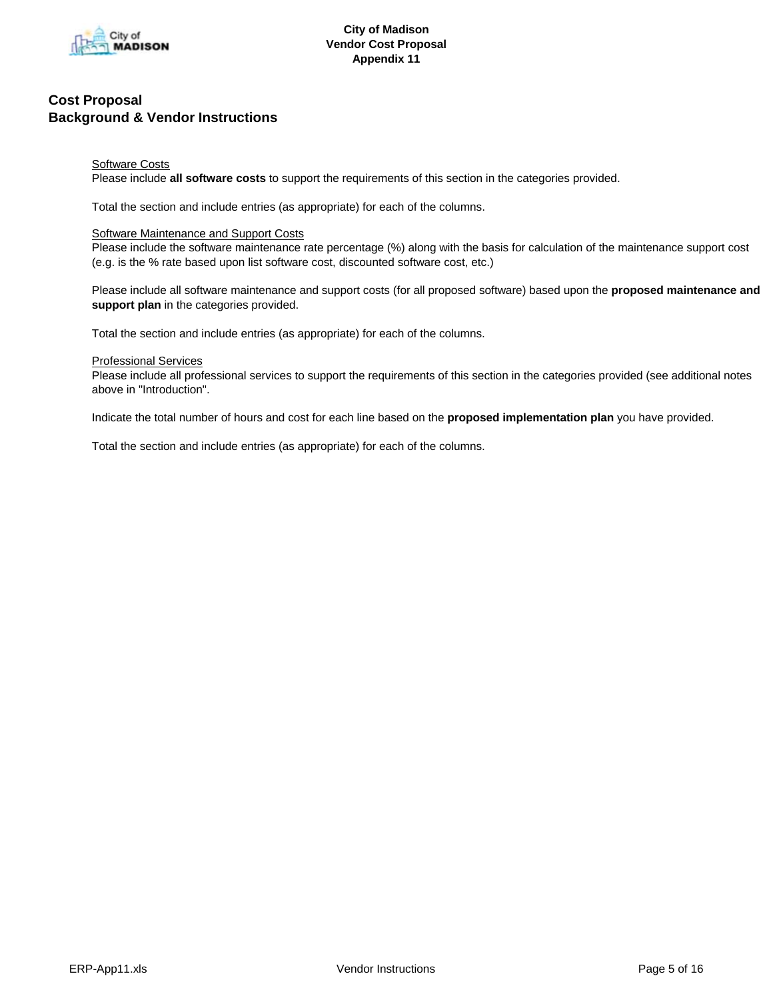

# **Software Costs**

Please include **all software costs** to support the requirements of this section in the categories provided.

Total the section and include entries (as appropriate) for each of the columns.

# Software Maintenance and Support Costs

Please include the software maintenance rate percentage (%) along with the basis for calculation of the maintenance support cost (e.g. is the % rate based upon list software cost, discounted software cost, etc.)

Please include all software maintenance and support costs (for all proposed software) based upon the **proposed maintenance and support plan** in the categories provided.

Total the section and include entries (as appropriate) for each of the columns.

# Professional Services

Please include all professional services to support the requirements of this section in the categories provided (see additional notes above in "Introduction".

Indicate the total number of hours and cost for each line based on the **proposed implementation plan** you have provided.

Total the section and include entries (as appropriate) for each of the columns.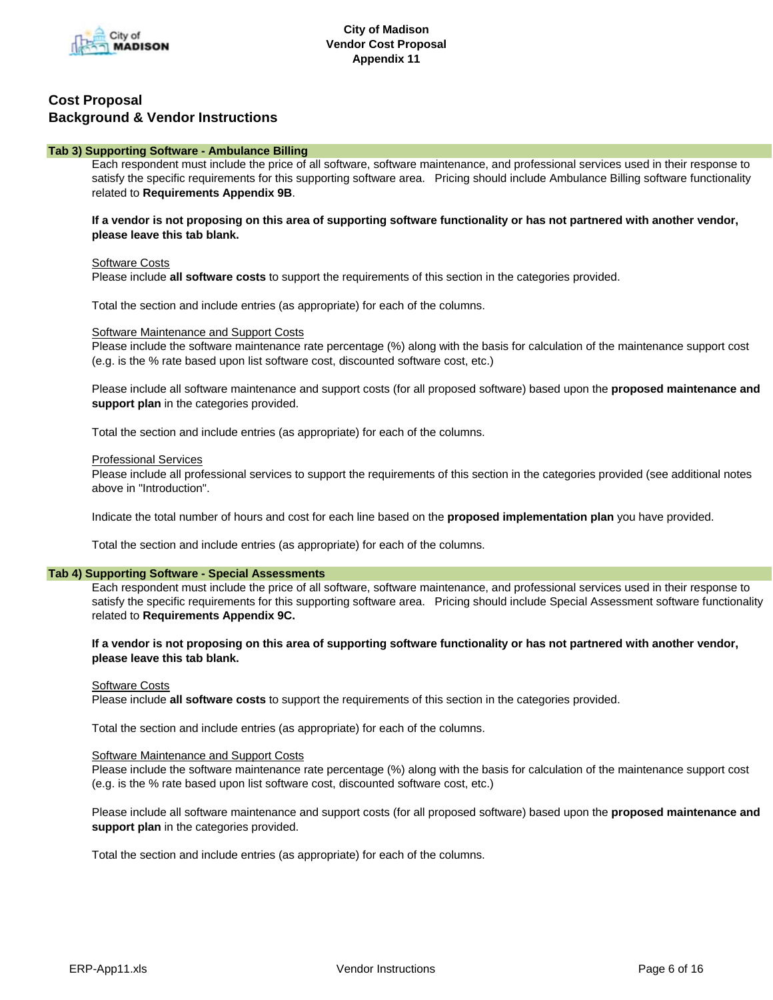

# **Tab 3) Supporting Software - Ambulance Billing**

Each respondent must include the price of all software, software maintenance, and professional services used in their response to satisfy the specific requirements for this supporting software area. Pricing should include Ambulance Billing software functionality related to **Requirements Appendix 9B**.

# **If a vendor is not proposing on this area of supporting software functionality or has not partnered with another vendor, please leave this tab blank.**

# Software Costs

Please include **all software costs** to support the requirements of this section in the categories provided.

Total the section and include entries (as appropriate) for each of the columns.

#### Software Maintenance and Support Costs

Please include the software maintenance rate percentage (%) along with the basis for calculation of the maintenance support cost (e.g. is the % rate based upon list software cost, discounted software cost, etc.)

Please include all software maintenance and support costs (for all proposed software) based upon the **proposed maintenance and support plan** in the categories provided.

Total the section and include entries (as appropriate) for each of the columns.

#### Professional Services

Please include all professional services to support the requirements of this section in the categories provided (see additional notes above in "Introduction".

Indicate the total number of hours and cost for each line based on the **proposed implementation plan** you have provided.

Total the section and include entries (as appropriate) for each of the columns.

#### **Tab 4) Supporting Software - Special Assessments**

Each respondent must include the price of all software, software maintenance, and professional services used in their response to satisfy the specific requirements for this supporting software area. Pricing should include Special Assessment software functionality related to **Requirements Appendix 9C.**

# **If a vendor is not proposing on this area of supporting software functionality or has not partnered with another vendor, please leave this tab blank.**

# Software Costs

Please include **all software costs** to support the requirements of this section in the categories provided.

Total the section and include entries (as appropriate) for each of the columns.

#### Software Maintenance and Support Costs

Please include the software maintenance rate percentage (%) along with the basis for calculation of the maintenance support cost (e.g. is the % rate based upon list software cost, discounted software cost, etc.)

Please include all software maintenance and support costs (for all proposed software) based upon the **proposed maintenance and support plan** in the categories provided.

Total the section and include entries (as appropriate) for each of the columns.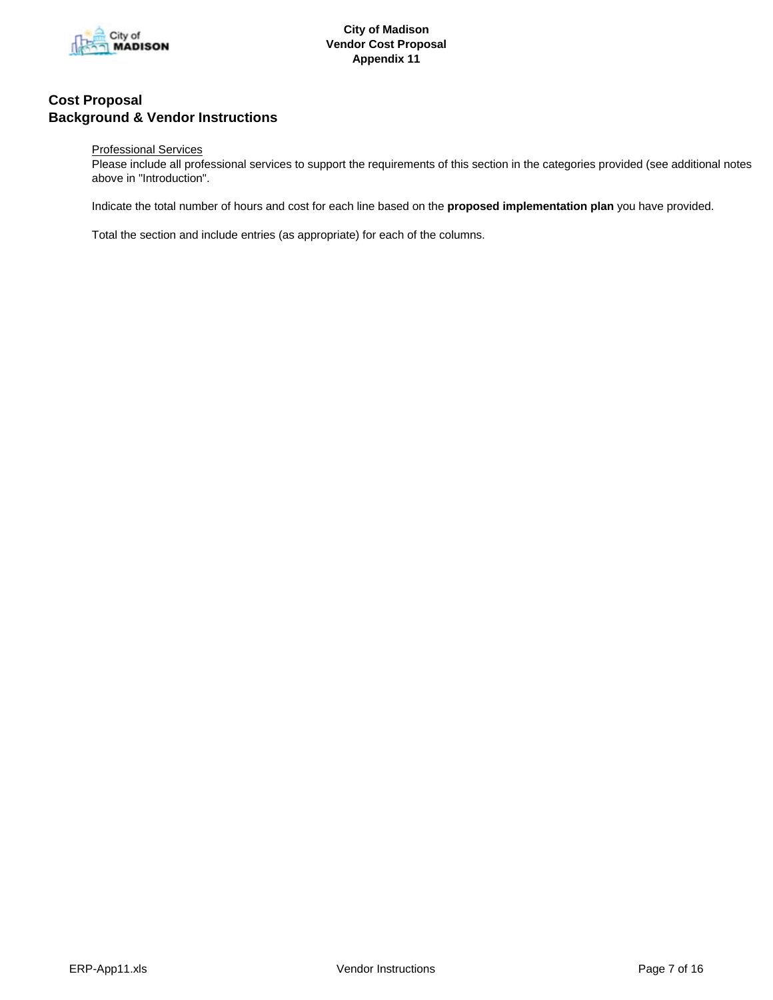

# Professional Services

Please include all professional services to support the requirements of this section in the categories provided (see additional notes above in "Introduction".

Indicate the total number of hours and cost for each line based on the **proposed implementation plan** you have provided.

Total the section and include entries (as appropriate) for each of the columns.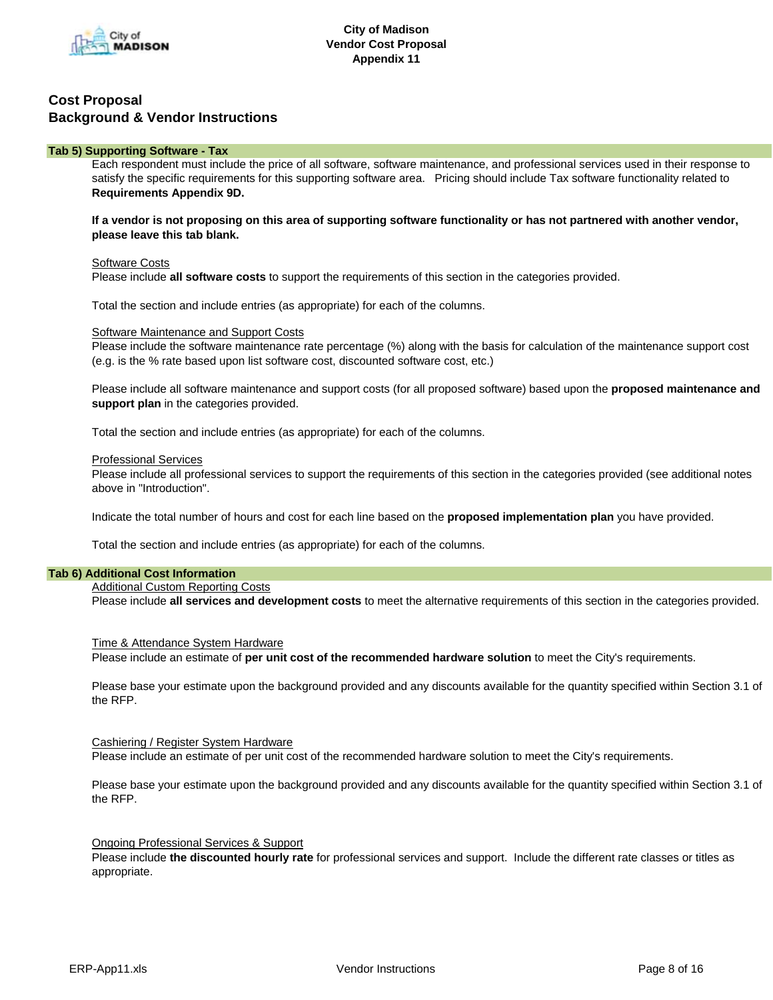

# **Tab 5) Supporting Software - Tax**

Each respondent must include the price of all software, software maintenance, and professional services used in their response to satisfy the specific requirements for this supporting software area. Pricing should include Tax software functionality related to **Requirements Appendix 9D.**

**If a vendor is not proposing on this area of supporting software functionality or has not partnered with another vendor, please leave this tab blank.**

#### Software Costs

Please include **all software costs** to support the requirements of this section in the categories provided.

Total the section and include entries (as appropriate) for each of the columns.

#### Software Maintenance and Support Costs

Please include the software maintenance rate percentage (%) along with the basis for calculation of the maintenance support cost (e.g. is the % rate based upon list software cost, discounted software cost, etc.)

Please include all software maintenance and support costs (for all proposed software) based upon the **proposed maintenance and support plan** in the categories provided.

Total the section and include entries (as appropriate) for each of the columns.

#### Professional Services

Please include all professional services to support the requirements of this section in the categories provided (see additional notes above in "Introduction".

Indicate the total number of hours and cost for each line based on the **proposed implementation plan** you have provided.

Total the section and include entries (as appropriate) for each of the columns.

# **Tab 6) Additional Cost Information**

#### **Additional Custom Reporting Costs**

Please include **all services and development costs** to meet the alternative requirements of this section in the categories provided.

#### Time & Attendance System Hardware

Please include an estimate of **per unit cost of the recommended hardware solution** to meet the City's requirements.

Please base your estimate upon the background provided and any discounts available for the quantity specified within Section 3.1 of the RFP.

#### Cashiering / Register System Hardware

Please include an estimate of per unit cost of the recommended hardware solution to meet the City's requirements.

Please base your estimate upon the background provided and any discounts available for the quantity specified within Section 3.1 of the RFP.

#### Ongoing Professional Services & Support

Please include **the discounted hourly rate** for professional services and support. Include the different rate classes or titles as appropriate.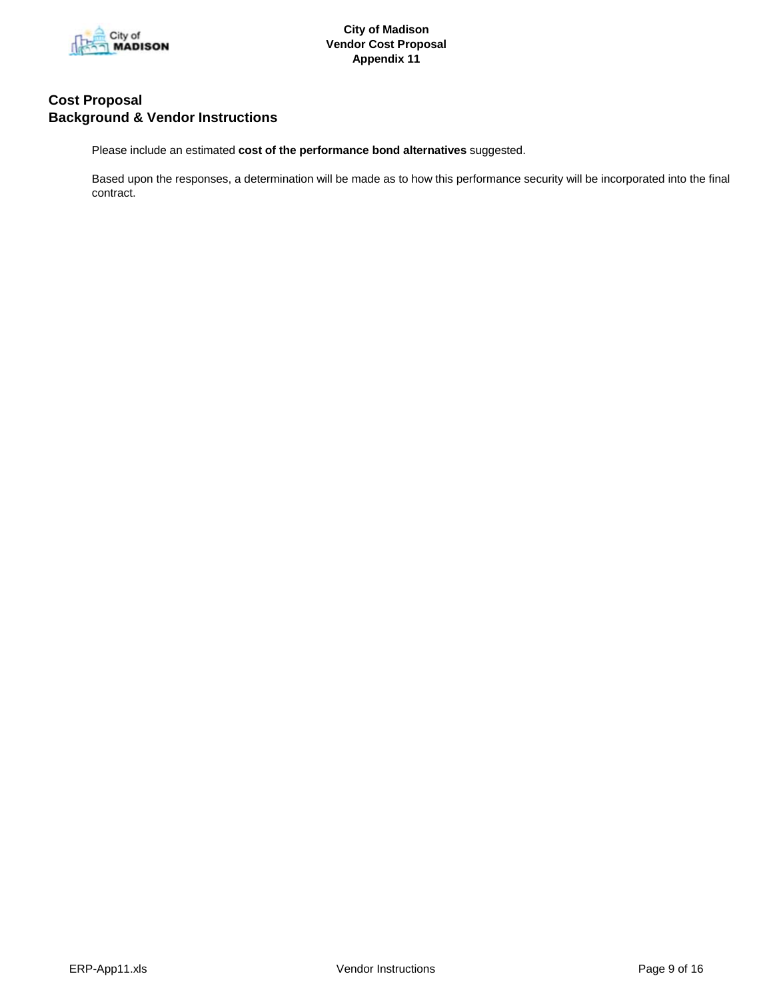

Please include an estimated **cost of the performance bond alternatives** suggested.

Based upon the responses, a determination will be made as to how this performance security will be incorporated into the final contract.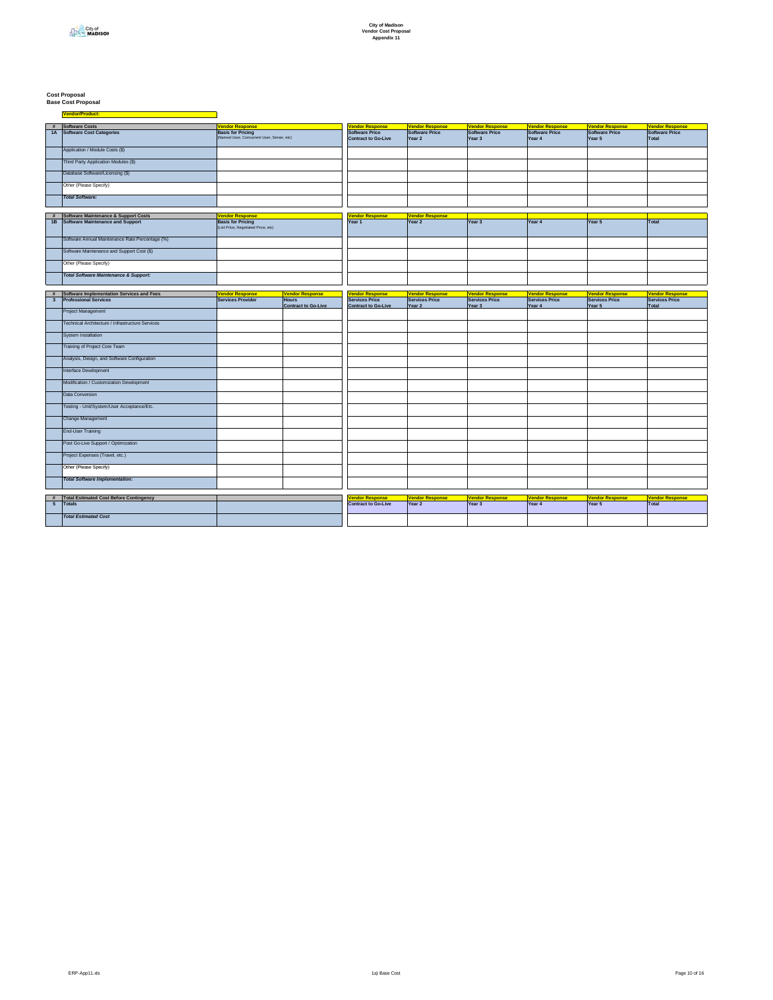# **Cost Proposal Base Cost Proposal**

**Vendor/Product:** <u> 1989 - Johann Barn, mars eta bainar eta i</u>

| Software Costs<br><b>Vendor Response</b><br><b>Jendor Response</b><br><b>Vendor Response</b><br><b>Vendor Response</b><br><b>Vendor Response</b><br><b>Vendor Response</b><br><b>Vendor Response</b><br>#<br>1A Software Cost Categories<br><b>Basis for Pricing</b><br>Software Price<br>Software Price<br>Software Price<br>Software Price<br>Software Price<br><b>Software Price</b><br>(Named User, Concurrent User, Server, etc)<br>Total<br><b>Contract to Go-Live</b><br>Year 2<br>Year 3<br>Year 4<br>Year 5<br>Application / Module Costs (\$)<br>Third Party Application Modules (\$)<br>Database Software/Licensing (\$)<br>Other (Please Specify)<br><b>Total Software:</b> |  |
|-----------------------------------------------------------------------------------------------------------------------------------------------------------------------------------------------------------------------------------------------------------------------------------------------------------------------------------------------------------------------------------------------------------------------------------------------------------------------------------------------------------------------------------------------------------------------------------------------------------------------------------------------------------------------------------------|--|
|                                                                                                                                                                                                                                                                                                                                                                                                                                                                                                                                                                                                                                                                                         |  |
|                                                                                                                                                                                                                                                                                                                                                                                                                                                                                                                                                                                                                                                                                         |  |
|                                                                                                                                                                                                                                                                                                                                                                                                                                                                                                                                                                                                                                                                                         |  |
|                                                                                                                                                                                                                                                                                                                                                                                                                                                                                                                                                                                                                                                                                         |  |
|                                                                                                                                                                                                                                                                                                                                                                                                                                                                                                                                                                                                                                                                                         |  |
|                                                                                                                                                                                                                                                                                                                                                                                                                                                                                                                                                                                                                                                                                         |  |
|                                                                                                                                                                                                                                                                                                                                                                                                                                                                                                                                                                                                                                                                                         |  |
| Software Maintenance & Support Costs<br><b>Vendor Response</b><br><b>Jendor Response</b><br><b>Vendor Response</b>                                                                                                                                                                                                                                                                                                                                                                                                                                                                                                                                                                      |  |
| 1B Software Maintenance and Support<br><b>Basis for Pricing</b><br>Year 2<br>Year 3<br>Year 4<br>Year 5<br>Total<br>Year 1<br>(List Price, Negotiated Price, etc)                                                                                                                                                                                                                                                                                                                                                                                                                                                                                                                       |  |
| Software Annual Maintenance Rate Percentage (%)                                                                                                                                                                                                                                                                                                                                                                                                                                                                                                                                                                                                                                         |  |
| Software Maintenance and Support Cost (\$)                                                                                                                                                                                                                                                                                                                                                                                                                                                                                                                                                                                                                                              |  |
| Other (Please Specify)                                                                                                                                                                                                                                                                                                                                                                                                                                                                                                                                                                                                                                                                  |  |
| <b>Total Software Maintenance &amp; Support:</b>                                                                                                                                                                                                                                                                                                                                                                                                                                                                                                                                                                                                                                        |  |
|                                                                                                                                                                                                                                                                                                                                                                                                                                                                                                                                                                                                                                                                                         |  |
| Software Implementation Services and Fees<br><b>Vendor Response</b><br><b>Vendor Response</b><br><b>Vendor Response</b><br><b>Vendor Response</b><br><b>Jendor Response</b><br><b>Vendor Response</b><br><b>Vendor Response</b><br><b>Vendor Response</b><br>#                                                                                                                                                                                                                                                                                                                                                                                                                          |  |
| <b>Professional Services</b><br>Services Price<br>Services Price<br>$\overline{\mathbf{3}}$<br><b>Services Provider</b><br><b>Hours</b><br><b>Services Price</b><br><b>Services Price</b><br><b>Services Price</b><br><b>Services Price</b><br><b>Contract to Go-Live</b><br>Year 2<br>Year 3<br>Year 4<br>Year 5<br>Total<br><b>Contract to Go-Live</b>                                                                                                                                                                                                                                                                                                                                |  |
| Project Management                                                                                                                                                                                                                                                                                                                                                                                                                                                                                                                                                                                                                                                                      |  |
| Technical Architecture / Infrastructure Services                                                                                                                                                                                                                                                                                                                                                                                                                                                                                                                                                                                                                                        |  |
| <b>System Installation</b>                                                                                                                                                                                                                                                                                                                                                                                                                                                                                                                                                                                                                                                              |  |
| Training of Project Core Team                                                                                                                                                                                                                                                                                                                                                                                                                                                                                                                                                                                                                                                           |  |
| Analysis, Design, and Software Configuration                                                                                                                                                                                                                                                                                                                                                                                                                                                                                                                                                                                                                                            |  |
| Interface Development                                                                                                                                                                                                                                                                                                                                                                                                                                                                                                                                                                                                                                                                   |  |
| Modification / Customization Development                                                                                                                                                                                                                                                                                                                                                                                                                                                                                                                                                                                                                                                |  |
| Data Conversion                                                                                                                                                                                                                                                                                                                                                                                                                                                                                                                                                                                                                                                                         |  |
| Testing - Unit/System/User Acceptance/Etc.                                                                                                                                                                                                                                                                                                                                                                                                                                                                                                                                                                                                                                              |  |
| Change Management                                                                                                                                                                                                                                                                                                                                                                                                                                                                                                                                                                                                                                                                       |  |
| <b>End-User Training</b>                                                                                                                                                                                                                                                                                                                                                                                                                                                                                                                                                                                                                                                                |  |
| Post Go-Live Support / Optimization                                                                                                                                                                                                                                                                                                                                                                                                                                                                                                                                                                                                                                                     |  |
| Project Expenses (Travel, etc.)                                                                                                                                                                                                                                                                                                                                                                                                                                                                                                                                                                                                                                                         |  |
| Other (Please Specify)                                                                                                                                                                                                                                                                                                                                                                                                                                                                                                                                                                                                                                                                  |  |
| <b>Total Software Implementation:</b>                                                                                                                                                                                                                                                                                                                                                                                                                                                                                                                                                                                                                                                   |  |
|                                                                                                                                                                                                                                                                                                                                                                                                                                                                                                                                                                                                                                                                                         |  |
| # Total Estimated Cost Before Contingency<br><b>Vendor Response</b><br><b>Jendor Response</b><br><b>Vendor Response</b><br><b>Vendor Response</b><br><b>Vendor Response</b><br><b>Vendor Response</b>                                                                                                                                                                                                                                                                                                                                                                                                                                                                                   |  |
| 5 <sub>5</sub><br>Totals<br><b>Contract to Go-Live</b><br>Year 3<br>Year 5<br>Total<br>Year 2<br>Year 4                                                                                                                                                                                                                                                                                                                                                                                                                                                                                                                                                                                 |  |
| <b>Total Estimated Cost</b>                                                                                                                                                                                                                                                                                                                                                                                                                                                                                                                                                                                                                                                             |  |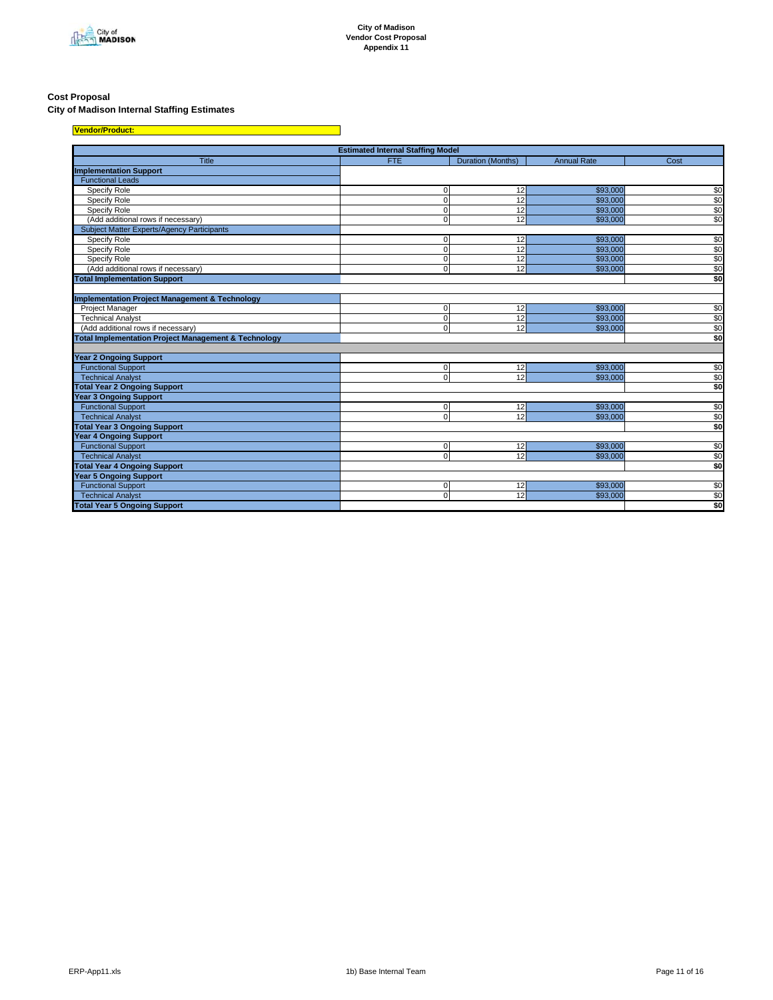

#### **Cost Proposal**

#### **City of Madison Internal Staffing Estimates**

| Vendor/Product:                                                 |                                          |                   |                    |                 |
|-----------------------------------------------------------------|------------------------------------------|-------------------|--------------------|-----------------|
|                                                                 | <b>Estimated Internal Staffing Model</b> |                   |                    |                 |
| Title                                                           | <b>FTE</b>                               | Duration (Months) | <b>Annual Rate</b> | Cost            |
| <b>Implementation Support</b>                                   |                                          |                   |                    |                 |
| <b>Functional Leads</b>                                         |                                          |                   |                    |                 |
| Specify Role                                                    | $\mathbf 0$                              | 12                | \$93,000           | \$0             |
| Specify Role                                                    | $\mathbf 0$                              | 12                | \$93,000           | \$0             |
| Specify Role                                                    | $\Omega$                                 | 12                | \$93,000           | \$0             |
| (Add additional rows if necessary)                              | $\Omega$                                 | 12                | \$93,000           | \$0             |
| <b>Subject Matter Experts/Agency Participants</b>               |                                          |                   |                    |                 |
| Specify Role                                                    | $\mathbf 0$                              | 12                | \$93,000           | \$0             |
| Specify Role                                                    | $\Omega$                                 | 12                | \$93,000           | \$0             |
| Specify Role                                                    | $\Omega$                                 | 12                | \$93,000           | \$0             |
| (Add additional rows if necessary)                              | $\mathbf 0$                              | 12                | \$93,000           | \$0             |
| <b>Total Implementation Support</b>                             |                                          |                   |                    | \$0             |
|                                                                 |                                          |                   |                    |                 |
| <b>Implementation Project Management &amp; Technology</b>       |                                          |                   |                    |                 |
| Project Manager                                                 | $\mathbf 0$                              | 12                | \$93,000           | \$0             |
| <b>Technical Analyst</b>                                        | $\Omega$                                 | 12                | \$93,000           |                 |
| (Add additional rows if necessary)                              | $\Omega$                                 | 12                | \$93,000           | $\frac{$0}{$0}$ |
| <b>Total Implementation Project Management &amp; Technology</b> |                                          |                   |                    | \$0             |
|                                                                 |                                          |                   |                    |                 |
| <b>Year 2 Ongoing Support</b>                                   |                                          |                   |                    |                 |
| <b>Functional Support</b>                                       | $\mathbf 0$                              | 12                | \$93,000           | \$0             |
| <b>Technical Analyst</b>                                        | $\Omega$                                 | 12                | \$93,000           | \$0             |
| <b>Total Year 2 Ongoing Support</b>                             |                                          |                   |                    | \$0             |
| <b>Year 3 Ongoing Support</b>                                   |                                          |                   |                    |                 |
| <b>Functional Support</b>                                       | $\mathbf 0$                              | 12                | \$93,000           | \$0             |
| <b>Technical Analyst</b>                                        | $\mathbf 0$                              | 12                | \$93,000           | \$0             |
| <b>Total Year 3 Ongoing Support</b>                             |                                          |                   |                    | \$0             |
| Year 4 Ongoing Support                                          |                                          |                   |                    |                 |
| <b>Functional Support</b>                                       | $\mathbf 0$                              | 12                | \$93,000           | \$0             |
| <b>Technical Analyst</b>                                        | $\Omega$                                 | 12                | \$93,000           | \$0             |
| <b>Total Year 4 Ongoing Support</b>                             |                                          |                   |                    | \$0             |
| <b>Year 5 Ongoing Support</b>                                   |                                          |                   |                    |                 |
| <b>Functional Support</b>                                       | $\mathbf 0$                              | 12                | \$93,000           | \$0             |
| <b>Technical Analyst</b>                                        | $\cap$                                   | 12                | \$93,000           | \$0             |
| <b>Total Year 5 Ongoing Support</b>                             |                                          |                   |                    | \$0             |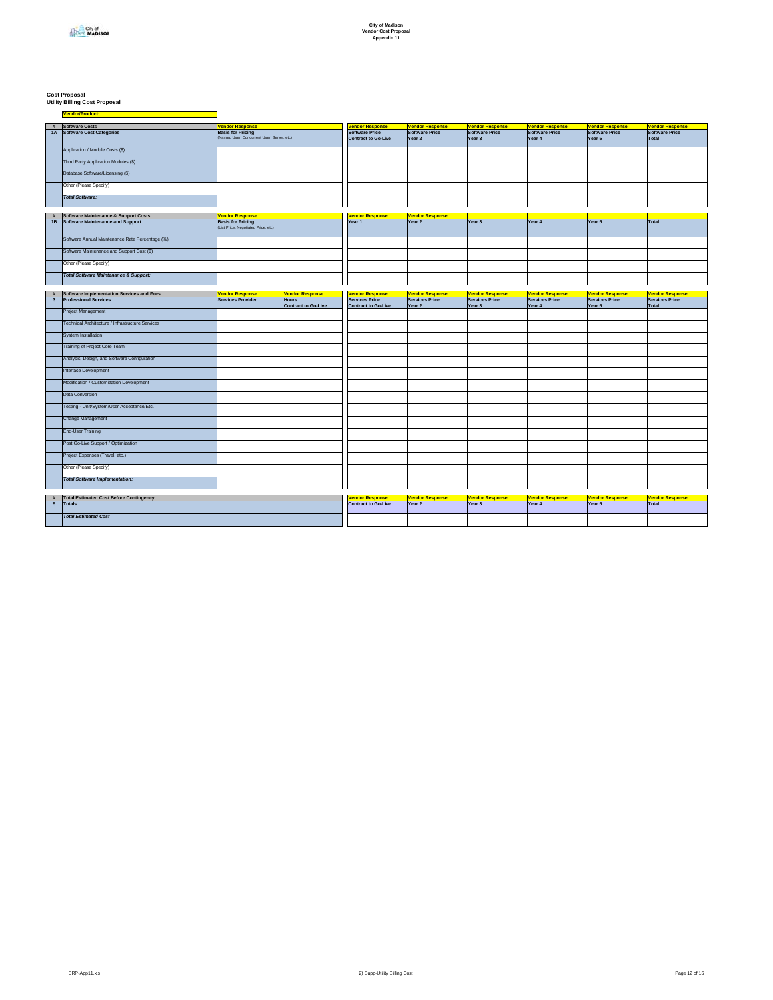# **Cost Proposal Utility Billing Cost Proposal**

|                         | # Software Costs                                 | <b>Vendor Response</b>                     |                            | <b>Jendor Response</b>     | <b>Vendor Response</b> | <b>Vendor Response</b> | <b>Vendor Response</b> | <b>Vendor Response</b> | <b>Vendor Response</b> |
|-------------------------|--------------------------------------------------|--------------------------------------------|----------------------------|----------------------------|------------------------|------------------------|------------------------|------------------------|------------------------|
|                         | 1A Software Cost Categories                      | <b>Basis for Pricing</b>                   |                            | <b>Software Price</b>      | <b>Software Price</b>  | Software Price         | <b>Software Price</b>  | <b>Software Price</b>  | <b>Software Price</b>  |
|                         |                                                  | (Named User, Concurrent User, Server, etc) |                            | <b>Contract to Go-Live</b> | Year 2                 | Year 3                 | Year 4                 | Year 5                 | Total                  |
|                         |                                                  |                                            |                            |                            |                        |                        |                        |                        |                        |
|                         | Application / Module Costs (\$)                  |                                            |                            |                            |                        |                        |                        |                        |                        |
|                         |                                                  |                                            |                            |                            |                        |                        |                        |                        |                        |
|                         |                                                  |                                            |                            |                            |                        |                        |                        |                        |                        |
|                         | Third Party Application Modules (\$)             |                                            |                            |                            |                        |                        |                        |                        |                        |
|                         |                                                  |                                            |                            |                            |                        |                        |                        |                        |                        |
|                         | Database Software/Licensing (\$)                 |                                            |                            |                            |                        |                        |                        |                        |                        |
|                         |                                                  |                                            |                            |                            |                        |                        |                        |                        |                        |
|                         | Other (Please Specify)                           |                                            |                            |                            |                        |                        |                        |                        |                        |
|                         |                                                  |                                            |                            |                            |                        |                        |                        |                        |                        |
|                         | <b>Total Software:</b>                           |                                            |                            |                            |                        |                        |                        |                        |                        |
|                         |                                                  |                                            |                            |                            |                        |                        |                        |                        |                        |
|                         |                                                  |                                            |                            |                            |                        |                        |                        |                        |                        |
|                         | # Software Maintenance & Support Costs           | <b>Vendor Response</b>                     |                            | <b>Vendor Response</b>     | <b>Vendor Response</b> |                        |                        |                        |                        |
|                         | 1B Software Maintenance and Support              | <b>Basis for Pricing</b>                   |                            | Year 1                     | Year 2                 | Year 3                 | Year 4                 | Year 5                 | Total                  |
|                         |                                                  | (List Price, Negotiated Price, etc)        |                            |                            |                        |                        |                        |                        |                        |
|                         |                                                  |                                            |                            |                            |                        |                        |                        |                        |                        |
|                         |                                                  |                                            |                            |                            |                        |                        |                        |                        |                        |
|                         | Software Annual Maintenance Rate Percentage (%)  |                                            |                            |                            |                        |                        |                        |                        |                        |
|                         |                                                  |                                            |                            |                            |                        |                        |                        |                        |                        |
|                         | Software Maintenance and Support Cost (\$)       |                                            |                            |                            |                        |                        |                        |                        |                        |
|                         |                                                  |                                            |                            |                            |                        |                        |                        |                        |                        |
|                         | Other (Please Specify)                           |                                            |                            |                            |                        |                        |                        |                        |                        |
|                         |                                                  |                                            |                            |                            |                        |                        |                        |                        |                        |
|                         | <b>Total Software Maintenance &amp; Support:</b> |                                            |                            |                            |                        |                        |                        |                        |                        |
|                         |                                                  |                                            |                            |                            |                        |                        |                        |                        |                        |
|                         |                                                  |                                            |                            |                            |                        |                        |                        |                        |                        |
|                         | # Software Implementation Services and Fees      | <b>Vendor Response</b>                     | <b>Vendor Response</b>     | <b>Jendor Response</b>     | <b>Vendor Response</b> | <b>Vendor Response</b> | <b>Vendor Response</b> | <b>Vendor Response</b> | Vendor Response        |
| $\overline{\mathbf{3}}$ | <b>Professional Services</b>                     | <b>Services Provider</b>                   | <b>Hours</b>               | <b>Services Price</b>      | <b>Services Price</b>  | <b>Services Price</b>  | <b>Services Price</b>  | <b>Services Price</b>  | <b>Services Price</b>  |
|                         |                                                  |                                            | <b>Contract to Go-Live</b> | <b>Contract to Go-Live</b> | Year 2                 | Year 3                 | Year 4                 | Year 5                 | Total                  |
|                         | Project Management                               |                                            |                            |                            |                        |                        |                        |                        |                        |
|                         |                                                  |                                            |                            |                            |                        |                        |                        |                        |                        |
|                         |                                                  |                                            |                            |                            |                        |                        |                        |                        |                        |
|                         | Technical Architecture / Infrastructure Services |                                            |                            |                            |                        |                        |                        |                        |                        |
|                         |                                                  |                                            |                            |                            |                        |                        |                        |                        |                        |
|                         | System Installation                              |                                            |                            |                            |                        |                        |                        |                        |                        |
|                         |                                                  |                                            |                            |                            |                        |                        |                        |                        |                        |
|                         | Training of Project Core Team                    |                                            |                            |                            |                        |                        |                        |                        |                        |
|                         |                                                  |                                            |                            |                            |                        |                        |                        |                        |                        |
|                         | Analysis, Design, and Software Configuration     |                                            |                            |                            |                        |                        |                        |                        |                        |
|                         |                                                  |                                            |                            |                            |                        |                        |                        |                        |                        |
|                         | Interface Development                            |                                            |                            |                            |                        |                        |                        |                        |                        |
|                         |                                                  |                                            |                            |                            |                        |                        |                        |                        |                        |
|                         | Modification / Customization Development         |                                            |                            |                            |                        |                        |                        |                        |                        |
|                         |                                                  |                                            |                            |                            |                        |                        |                        |                        |                        |
|                         | Data Conversion                                  |                                            |                            |                            |                        |                        |                        |                        |                        |
|                         |                                                  |                                            |                            |                            |                        |                        |                        |                        |                        |
|                         |                                                  |                                            |                            |                            |                        |                        |                        |                        |                        |
|                         | Testing - Unit/System/User Acceptance/Etc.       |                                            |                            |                            |                        |                        |                        |                        |                        |
|                         |                                                  |                                            |                            |                            |                        |                        |                        |                        |                        |
|                         | Change Management                                |                                            |                            |                            |                        |                        |                        |                        |                        |
|                         |                                                  |                                            |                            |                            |                        |                        |                        |                        |                        |
|                         | <b>End-User Training</b>                         |                                            |                            |                            |                        |                        |                        |                        |                        |
|                         |                                                  |                                            |                            |                            |                        |                        |                        |                        |                        |
|                         | Post Go-Live Support / Optimization              |                                            |                            |                            |                        |                        |                        |                        |                        |
|                         |                                                  |                                            |                            |                            |                        |                        |                        |                        |                        |
|                         | Project Expenses (Travel, etc.)                  |                                            |                            |                            |                        |                        |                        |                        |                        |
|                         |                                                  |                                            |                            |                            |                        |                        |                        |                        |                        |
|                         | Other (Please Specify)                           |                                            |                            |                            |                        |                        |                        |                        |                        |
|                         |                                                  |                                            |                            |                            |                        |                        |                        |                        |                        |
|                         | <b>Total Software Implementation:</b>            |                                            |                            |                            |                        |                        |                        |                        |                        |
|                         |                                                  |                                            |                            |                            |                        |                        |                        |                        |                        |
|                         |                                                  |                                            |                            |                            |                        |                        |                        |                        |                        |
|                         |                                                  |                                            |                            |                            |                        |                        |                        |                        |                        |
|                         | # Total Estimated Cost Before Contingency        |                                            |                            | <b>Jendor Response</b>     | <b>Vendor Response</b> | <b>Vendor Response</b> | <b>Vendor Response</b> | <b>Vendor Response</b> | Vendor Response        |
|                         | 5 Totals                                         |                                            |                            | <b>Contract to Go-Live</b> | Year 2                 | Year 3                 | Year 4                 | Year 5                 | Total                  |
|                         |                                                  |                                            |                            |                            |                        |                        |                        |                        |                        |
|                         | <b>Total Estimated Cost</b>                      |                                            |                            |                            |                        |                        |                        |                        |                        |
|                         |                                                  |                                            |                            |                            |                        |                        |                        |                        |                        |
|                         |                                                  |                                            |                            |                            |                        |                        |                        |                        |                        |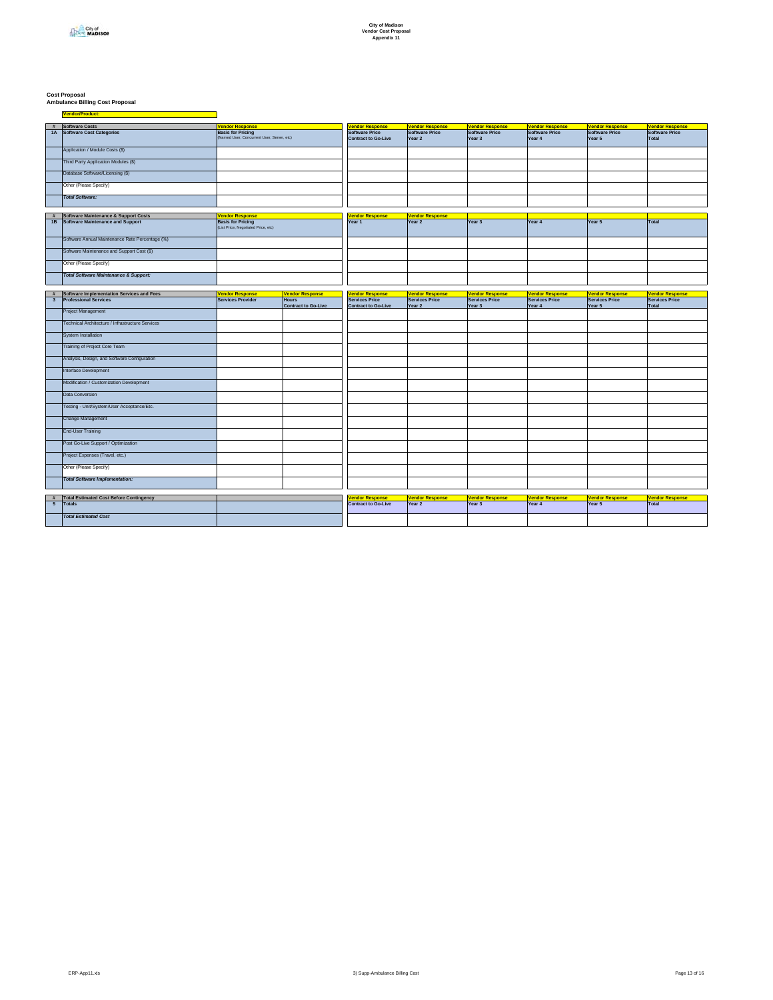# **Cost Proposal Ambulance Billing Cost Proposal**

|                              | # Software Costs                                                                       | <b>Vendor Response</b>                                                 |                                        | <b><i>Vendor Response</i></b>                        | <b>Vendor Response</b>                          | <b>Vendor Response</b>                   | <b>Vendor Response</b>                          | <b>Vendor Response</b>                          | <b>Vendor Response</b>                          |
|------------------------------|----------------------------------------------------------------------------------------|------------------------------------------------------------------------|----------------------------------------|------------------------------------------------------|-------------------------------------------------|------------------------------------------|-------------------------------------------------|-------------------------------------------------|-------------------------------------------------|
|                              | 1A Software Cost Categories                                                            | <b>Basis for Pricing</b><br>(Named User, Concurrent User, Server, etc) |                                        | Software Price<br><b>Contract to Go-Live</b>         | Software Price<br>Year 2                        | Software Price<br>Year 3                 | Software Price<br>Year 4                        | <b>Software Price</b><br>Year 5                 | Software Price<br>Total                         |
|                              | Application / Module Costs (\$)                                                        |                                                                        |                                        |                                                      |                                                 |                                          |                                                 |                                                 |                                                 |
|                              | Third Party Application Modules (\$)                                                   |                                                                        |                                        |                                                      |                                                 |                                          |                                                 |                                                 |                                                 |
|                              | Database Software/Licensing (\$)                                                       |                                                                        |                                        |                                                      |                                                 |                                          |                                                 |                                                 |                                                 |
|                              | Other (Please Specify)                                                                 |                                                                        |                                        |                                                      |                                                 |                                          |                                                 |                                                 |                                                 |
|                              | <b>Total Software:</b>                                                                 |                                                                        |                                        |                                                      |                                                 |                                          |                                                 |                                                 |                                                 |
|                              |                                                                                        |                                                                        |                                        |                                                      |                                                 |                                          |                                                 |                                                 |                                                 |
| #                            | <b>Software Maintenance &amp; Support Costs</b><br>1B Software Maintenance and Support | <b>Vendor Response</b><br><b>Basis for Pricing</b>                     |                                        | <b>Vendor Response</b><br>Year 1                     | <b>Vendor Response</b><br>Year 2                | Year 3                                   | Year 4                                          | Year 5                                          | Total                                           |
|                              |                                                                                        | (List Price, Negotiated Price, etc)                                    |                                        |                                                      |                                                 |                                          |                                                 |                                                 |                                                 |
|                              | Software Annual Maintenance Rate Percentage (%)                                        |                                                                        |                                        |                                                      |                                                 |                                          |                                                 |                                                 |                                                 |
|                              | Software Maintenance and Support Cost (\$)                                             |                                                                        |                                        |                                                      |                                                 |                                          |                                                 |                                                 |                                                 |
|                              | Other (Please Specify)                                                                 |                                                                        |                                        |                                                      |                                                 |                                          |                                                 |                                                 |                                                 |
|                              | <b>Total Software Maintenance &amp; Support:</b>                                       |                                                                        |                                        |                                                      |                                                 |                                          |                                                 |                                                 |                                                 |
|                              |                                                                                        |                                                                        |                                        |                                                      |                                                 |                                          |                                                 |                                                 |                                                 |
| #<br>$\overline{\mathbf{3}}$ | Software Implementation Services and Fees<br><b>Professional Services</b>              | <b>Vendor Response</b><br><b>Services Provider</b>                     | <b>Vendor Response</b><br><b>Hours</b> | <b>Vendor Response</b><br><b>Services Price</b>      | <b>Vendor Response</b><br><b>Services Price</b> | Vendor Response<br><b>Services Price</b> | <b>Vendor Response</b><br><b>Services Price</b> | <b>Vendor Response</b><br><b>Services Price</b> | <b>Vendor Response</b><br><b>Services Price</b> |
|                              |                                                                                        |                                                                        | <b>Contract to Go-Live</b>             | <b>Contract to Go-Live</b>                           | Year 2                                          | Year 3                                   | Year 4                                          | Year 5                                          | Total                                           |
|                              | Project Management                                                                     |                                                                        |                                        |                                                      |                                                 |                                          |                                                 |                                                 |                                                 |
|                              | Technical Architecture / Infrastructure Services                                       |                                                                        |                                        |                                                      |                                                 |                                          |                                                 |                                                 |                                                 |
|                              | System Installation                                                                    |                                                                        |                                        |                                                      |                                                 |                                          |                                                 |                                                 |                                                 |
|                              | Training of Project Core Team                                                          |                                                                        |                                        |                                                      |                                                 |                                          |                                                 |                                                 |                                                 |
|                              | Analysis, Design, and Software Configuration                                           |                                                                        |                                        |                                                      |                                                 |                                          |                                                 |                                                 |                                                 |
|                              | Interface Development                                                                  |                                                                        |                                        |                                                      |                                                 |                                          |                                                 |                                                 |                                                 |
|                              | Modification / Customization Development                                               |                                                                        |                                        |                                                      |                                                 |                                          |                                                 |                                                 |                                                 |
|                              | Data Conversion                                                                        |                                                                        |                                        |                                                      |                                                 |                                          |                                                 |                                                 |                                                 |
|                              | Testing - Unit/System/User Acceptance/Etc.                                             |                                                                        |                                        |                                                      |                                                 |                                          |                                                 |                                                 |                                                 |
|                              | Change Management                                                                      |                                                                        |                                        |                                                      |                                                 |                                          |                                                 |                                                 |                                                 |
|                              | End-User Training                                                                      |                                                                        |                                        |                                                      |                                                 |                                          |                                                 |                                                 |                                                 |
|                              | Post Go-Live Support / Optimization                                                    |                                                                        |                                        |                                                      |                                                 |                                          |                                                 |                                                 |                                                 |
|                              | Project Expenses (Travel, etc.)                                                        |                                                                        |                                        |                                                      |                                                 |                                          |                                                 |                                                 |                                                 |
|                              | Other (Please Specify)                                                                 |                                                                        |                                        |                                                      |                                                 |                                          |                                                 |                                                 |                                                 |
|                              | <b>Total Software Implementation:</b>                                                  |                                                                        |                                        |                                                      |                                                 |                                          |                                                 |                                                 |                                                 |
|                              |                                                                                        |                                                                        |                                        |                                                      |                                                 |                                          |                                                 |                                                 |                                                 |
| $5\overline{5}$              | # Total Estimated Cost Before Contingency<br>Totals                                    |                                                                        |                                        | <b>Vendor Response</b><br><b>Contract to Go-Live</b> | <b>Vendor Response</b><br>Year 2                | <b>Vendor Response</b><br>Year 3         | <b>Vendor Response</b><br>Year 4                | <b>Vendor Response</b><br>Year 5                | <b>Vendor Response</b><br>Total                 |
|                              |                                                                                        |                                                                        |                                        |                                                      |                                                 |                                          |                                                 |                                                 |                                                 |
|                              | <b>Total Estimated Cost</b>                                                            |                                                                        |                                        |                                                      |                                                 |                                          |                                                 |                                                 |                                                 |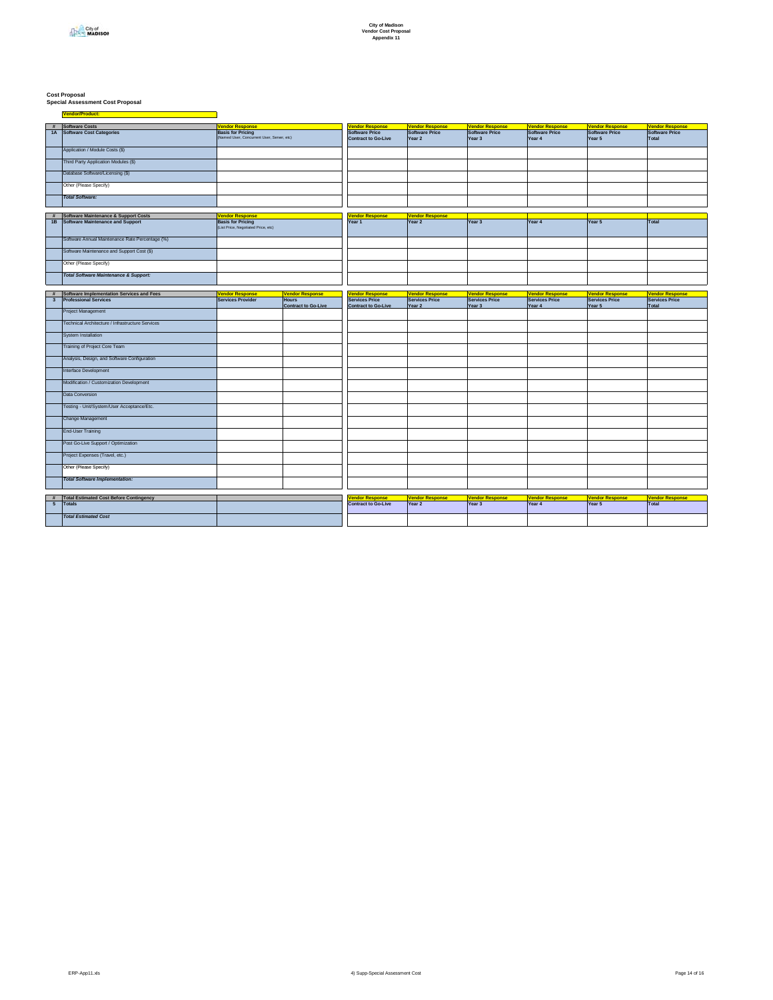# **Cost Proposal Special Assessment Cost Proposal**

|                         |                                                  | <b>Vendor Response</b>                     |                            |                                      |                        |                        |                        |                        |                        |
|-------------------------|--------------------------------------------------|--------------------------------------------|----------------------------|--------------------------------------|------------------------|------------------------|------------------------|------------------------|------------------------|
| #                       | Software Costs                                   |                                            |                            | <b>Vendor Response</b>               | <b>Vendor Response</b> | <b>Vendor Response</b> | <b>Vendor Response</b> | <b>Vendor Response</b> | <b>Vendor Response</b> |
|                         | 1A Software Cost Categories                      | <b>Basis for Pricing</b>                   |                            | Software Price                       | Software Price         | Software Price         | Software Price         | <b>Software Price</b>  | Software Price         |
|                         |                                                  | (Named User, Concurrent User, Server, etc) |                            | <b>Contract to Go-Live</b>           | Year 2                 | Year 3                 | Year <sub>4</sub>      | Year 5                 | Total                  |
|                         |                                                  |                                            |                            |                                      |                        |                        |                        |                        |                        |
|                         | Application / Module Costs (\$)                  |                                            |                            |                                      |                        |                        |                        |                        |                        |
|                         |                                                  |                                            |                            |                                      |                        |                        |                        |                        |                        |
|                         | Third Party Application Modules (\$)             |                                            |                            |                                      |                        |                        |                        |                        |                        |
|                         |                                                  |                                            |                            |                                      |                        |                        |                        |                        |                        |
|                         | Database Software/Licensing (\$)                 |                                            |                            |                                      |                        |                        |                        |                        |                        |
|                         |                                                  |                                            |                            |                                      |                        |                        |                        |                        |                        |
|                         | Other (Please Specify)                           |                                            |                            |                                      |                        |                        |                        |                        |                        |
|                         |                                                  |                                            |                            |                                      |                        |                        |                        |                        |                        |
|                         | <b>Total Software:</b>                           |                                            |                            |                                      |                        |                        |                        |                        |                        |
|                         |                                                  |                                            |                            |                                      |                        |                        |                        |                        |                        |
|                         |                                                  |                                            |                            |                                      |                        |                        |                        |                        |                        |
| #                       | <b>Software Maintenance &amp; Support Costs</b>  | <b>Vendor Response</b>                     |                            | <b><i><u>Vendor Response</u></i></b> | <b>Vendor Response</b> |                        |                        |                        |                        |
|                         | 1B Software Maintenance and Support              | <b>Basis for Pricing</b>                   |                            | Year 1                               | Year 2                 | Year 3                 | Year 4                 | Year 5                 | <b>Total</b>           |
|                         |                                                  | (List Price, Negotiated Price, etc)        |                            |                                      |                        |                        |                        |                        |                        |
|                         |                                                  |                                            |                            |                                      |                        |                        |                        |                        |                        |
|                         | Software Annual Maintenance Rate Percentage (%)  |                                            |                            |                                      |                        |                        |                        |                        |                        |
|                         |                                                  |                                            |                            |                                      |                        |                        |                        |                        |                        |
|                         | Software Maintenance and Support Cost (\$)       |                                            |                            |                                      |                        |                        |                        |                        |                        |
|                         |                                                  |                                            |                            |                                      |                        |                        |                        |                        |                        |
|                         | Other (Please Specify)                           |                                            |                            |                                      |                        |                        |                        |                        |                        |
|                         |                                                  |                                            |                            |                                      |                        |                        |                        |                        |                        |
|                         | <b>Total Software Maintenance &amp; Support:</b> |                                            |                            |                                      |                        |                        |                        |                        |                        |
|                         |                                                  |                                            |                            |                                      |                        |                        |                        |                        |                        |
|                         |                                                  |                                            |                            |                                      |                        |                        |                        |                        |                        |
| $\#$                    | Software Implementation Services and Fees        | <b>Vendor Response</b>                     | <b>Vendor Response</b>     | <b>Vendor Response</b>               | <b>Vendor Response</b> | <b>Vendor Response</b> | <b>Vendor Response</b> | <b>Vendor Response</b> | <b>Vendor Response</b> |
| $\overline{\mathbf{3}}$ | <b>Professional Services</b>                     | <b>Services Provider</b>                   | <b>Hours</b>               | <b>Services Price</b>                | <b>Services Price</b>  | Services Price         | <b>Services Price</b>  | <b>Services Price</b>  | <b>Services Price</b>  |
|                         |                                                  |                                            | <b>Contract to Go-Live</b> | <b>Contract to Go-Live</b>           | Year 2                 | Year 3                 | Year 4                 | Year 5                 | Total                  |
|                         | Project Management                               |                                            |                            |                                      |                        |                        |                        |                        |                        |
|                         |                                                  |                                            |                            |                                      |                        |                        |                        |                        |                        |
|                         |                                                  |                                            |                            |                                      |                        |                        |                        |                        |                        |
|                         | Technical Architecture / Infrastructure Services |                                            |                            |                                      |                        |                        |                        |                        |                        |
|                         |                                                  |                                            |                            |                                      |                        |                        |                        |                        |                        |
|                         | <b>System Installation</b>                       |                                            |                            |                                      |                        |                        |                        |                        |                        |
|                         |                                                  |                                            |                            |                                      |                        |                        |                        |                        |                        |
|                         | Training of Project Core Team                    |                                            |                            |                                      |                        |                        |                        |                        |                        |
|                         |                                                  |                                            |                            |                                      |                        |                        |                        |                        |                        |
|                         | Analysis, Design, and Software Configuration     |                                            |                            |                                      |                        |                        |                        |                        |                        |
|                         |                                                  |                                            |                            |                                      |                        |                        |                        |                        |                        |
|                         | Interface Development                            |                                            |                            |                                      |                        |                        |                        |                        |                        |
|                         |                                                  |                                            |                            |                                      |                        |                        |                        |                        |                        |
|                         | Modification / Customization Development         |                                            |                            |                                      |                        |                        |                        |                        |                        |
|                         |                                                  |                                            |                            |                                      |                        |                        |                        |                        |                        |
|                         | Data Conversion                                  |                                            |                            |                                      |                        |                        |                        |                        |                        |
|                         |                                                  |                                            |                            |                                      |                        |                        |                        |                        |                        |
|                         | Testing - Unit/System/User Acceptance/Etc.       |                                            |                            |                                      |                        |                        |                        |                        |                        |
|                         |                                                  |                                            |                            |                                      |                        |                        |                        |                        |                        |
|                         |                                                  |                                            |                            |                                      |                        |                        |                        |                        |                        |
|                         | Change Management                                |                                            |                            |                                      |                        |                        |                        |                        |                        |
|                         |                                                  |                                            |                            |                                      |                        |                        |                        |                        |                        |
|                         | <b>End-User Training</b>                         |                                            |                            |                                      |                        |                        |                        |                        |                        |
|                         |                                                  |                                            |                            |                                      |                        |                        |                        |                        |                        |
|                         | Post Go-Live Support / Optimization              |                                            |                            |                                      |                        |                        |                        |                        |                        |
|                         |                                                  |                                            |                            |                                      |                        |                        |                        |                        |                        |
|                         | Project Expenses (Travel, etc.)                  |                                            |                            |                                      |                        |                        |                        |                        |                        |
|                         |                                                  |                                            |                            |                                      |                        |                        |                        |                        |                        |
|                         | Other (Please Specify)                           |                                            |                            |                                      |                        |                        |                        |                        |                        |
|                         |                                                  |                                            |                            |                                      |                        |                        |                        |                        |                        |
|                         | <b>Total Software Implementation:</b>            |                                            |                            |                                      |                        |                        |                        |                        |                        |
|                         |                                                  |                                            |                            |                                      |                        |                        |                        |                        |                        |
|                         |                                                  |                                            |                            |                                      |                        |                        |                        |                        |                        |
|                         | # Total Estimated Cost Before Contingency        |                                            |                            | <b>Vendor Response</b>               | <b>Vendor Response</b> | <b>Vendor Response</b> | <b>Vendor Response</b> | <b>Vendor Response</b> | <b>Vendor Response</b> |
|                         |                                                  |                                            |                            |                                      |                        |                        |                        |                        |                        |
| $5\overline{5}$         | Totals                                           |                                            |                            | <b>Contract to Go-Live</b>           | Year 2                 | Year 3                 | Year 4                 | Year 5                 | Total                  |
|                         |                                                  |                                            |                            |                                      |                        |                        |                        |                        |                        |
|                         | <b>Total Estimated Cost</b>                      |                                            |                            |                                      |                        |                        |                        |                        |                        |
|                         |                                                  |                                            |                            |                                      |                        |                        |                        |                        |                        |
|                         |                                                  |                                            |                            |                                      |                        |                        |                        |                        |                        |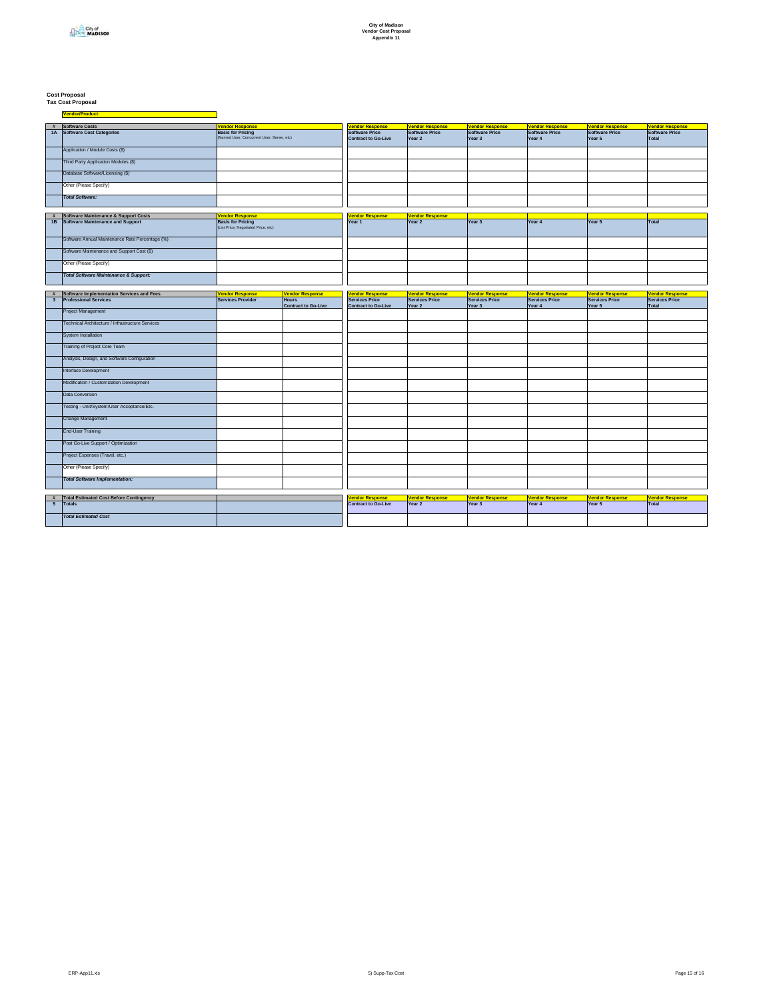# **Cost Proposal Tax Cost Proposal**

|                              | # Software Costs<br>1A Software Cost Categories                                            | <b>Vendor Response</b><br><b>Basis for Pricing</b> |                                 | <b><i>Vendor Response</i></b><br><b>Software Price</b> | <b>Vendor Response</b><br>Software Price    | <b>Vendor Response</b><br>Software Price | <b>Vendor Response</b><br>Software Price    | <b>Vendor Response</b><br><b>Software Price</b> | <b>Vendor Response</b><br>Software Price |
|------------------------------|--------------------------------------------------------------------------------------------|----------------------------------------------------|---------------------------------|--------------------------------------------------------|---------------------------------------------|------------------------------------------|---------------------------------------------|-------------------------------------------------|------------------------------------------|
|                              |                                                                                            | (Named User, Concurrent User, Server, etc)         |                                 | <b>Contract to Go-Live</b>                             | Year 2                                      | Year 3                                   | Year 4                                      | Year 5                                          | Total                                    |
|                              | Application / Module Costs (\$)                                                            |                                                    |                                 |                                                        |                                             |                                          |                                             |                                                 |                                          |
|                              | Third Party Application Modules (\$)                                                       |                                                    |                                 |                                                        |                                             |                                          |                                             |                                                 |                                          |
|                              | Database Software/Licensing (\$)                                                           |                                                    |                                 |                                                        |                                             |                                          |                                             |                                                 |                                          |
|                              | Other (Please Specify)                                                                     |                                                    |                                 |                                                        |                                             |                                          |                                             |                                                 |                                          |
|                              | <b>Total Software:</b>                                                                     |                                                    |                                 |                                                        |                                             |                                          |                                             |                                                 |                                          |
|                              |                                                                                            |                                                    |                                 |                                                        |                                             |                                          |                                             |                                                 |                                          |
| #<br>1B                      | <b>Software Maintenance &amp; Support Costs</b><br><b>Software Maintenance and Support</b> | <b>Vendor Response</b><br><b>Basis for Pricing</b> |                                 | <b><i>Vendor Response</i></b><br>Year 1                | <b>Vendor Response</b><br>Year <sub>2</sub> | Year 3                                   | Year 4                                      | Year $5$                                        | <b>Total</b>                             |
|                              |                                                                                            | (List Price, Negotiated Price, etc)                |                                 |                                                        |                                             |                                          |                                             |                                                 |                                          |
|                              | Software Annual Maintenance Rate Percentage (%)                                            |                                                    |                                 |                                                        |                                             |                                          |                                             |                                                 |                                          |
|                              | Software Maintenance and Support Cost (\$)                                                 |                                                    |                                 |                                                        |                                             |                                          |                                             |                                                 |                                          |
|                              | Other (Please Specify)                                                                     |                                                    |                                 |                                                        |                                             |                                          |                                             |                                                 |                                          |
|                              | <b>Total Software Maintenance &amp; Support:</b>                                           |                                                    |                                 |                                                        |                                             |                                          |                                             |                                                 |                                          |
|                              |                                                                                            |                                                    |                                 |                                                        |                                             |                                          |                                             |                                                 |                                          |
| #<br>$\overline{\mathbf{3}}$ | Software Implementation Services and Fees<br><b>Professional Services</b>                  | <b>Vendor Response</b><br><b>Services Provider</b> | <b>Vendor Response</b><br>Hours | <b>Vendor Response</b><br>Services Price               | <b>Vendor Response</b><br>Services Price    | <b>Vendor Response</b><br>Services Price | <b>Vendor Response</b><br>Services Price    | <b>Vendor Response</b><br><b>Services Price</b> | <b>Vendor Response</b><br>Services Price |
|                              |                                                                                            |                                                    | <b>Contract to Go-Live</b>      | <b>Contract to Go-Live</b>                             | Year 2                                      | Year 3                                   | Year 4                                      | Year 5                                          | Total                                    |
|                              | Project Management                                                                         |                                                    |                                 |                                                        |                                             |                                          |                                             |                                                 |                                          |
|                              | Technical Architecture / Infrastructure Services                                           |                                                    |                                 |                                                        |                                             |                                          |                                             |                                                 |                                          |
|                              | System Installation                                                                        |                                                    |                                 |                                                        |                                             |                                          |                                             |                                                 |                                          |
|                              | Training of Project Core Team                                                              |                                                    |                                 |                                                        |                                             |                                          |                                             |                                                 |                                          |
|                              | Analysis, Design, and Software Configuration                                               |                                                    |                                 |                                                        |                                             |                                          |                                             |                                                 |                                          |
|                              | Interface Development                                                                      |                                                    |                                 |                                                        |                                             |                                          |                                             |                                                 |                                          |
|                              | Modification / Customization Development                                                   |                                                    |                                 |                                                        |                                             |                                          |                                             |                                                 |                                          |
|                              | Data Conversion                                                                            |                                                    |                                 |                                                        |                                             |                                          |                                             |                                                 |                                          |
|                              | Testing - Unit/System/User Acceptance/Etc.                                                 |                                                    |                                 |                                                        |                                             |                                          |                                             |                                                 |                                          |
|                              | Change Management                                                                          |                                                    |                                 |                                                        |                                             |                                          |                                             |                                                 |                                          |
|                              | <b>End-User Training</b>                                                                   |                                                    |                                 |                                                        |                                             |                                          |                                             |                                                 |                                          |
|                              | Post Go-Live Support / Optimization                                                        |                                                    |                                 |                                                        |                                             |                                          |                                             |                                                 |                                          |
|                              | Project Expenses (Travel, etc.)                                                            |                                                    |                                 |                                                        |                                             |                                          |                                             |                                                 |                                          |
|                              | Other (Please Specify)                                                                     |                                                    |                                 |                                                        |                                             |                                          |                                             |                                                 |                                          |
|                              | <b>Total Software Implementation:</b>                                                      |                                                    |                                 |                                                        |                                             |                                          |                                             |                                                 |                                          |
|                              |                                                                                            |                                                    |                                 |                                                        |                                             |                                          |                                             |                                                 |                                          |
| 5 <sub>5</sub>               | # Total Estimated Cost Before Contingency<br>Totals                                        |                                                    |                                 | <b>Jendor Response</b><br><b>Contract to Go-Live</b>   | <b>Vendor Response</b><br>Year 2            | <b>Vendor Response</b><br>Year 3         | <b>Vendor Response</b><br>Year <sub>4</sub> | <b>Vendor Response</b><br>Year 5                | <b>Vendor Response</b><br>Total          |
|                              |                                                                                            |                                                    |                                 |                                                        |                                             |                                          |                                             |                                                 |                                          |
|                              | <b>Total Estimated Cost</b>                                                                |                                                    |                                 |                                                        |                                             |                                          |                                             |                                                 |                                          |